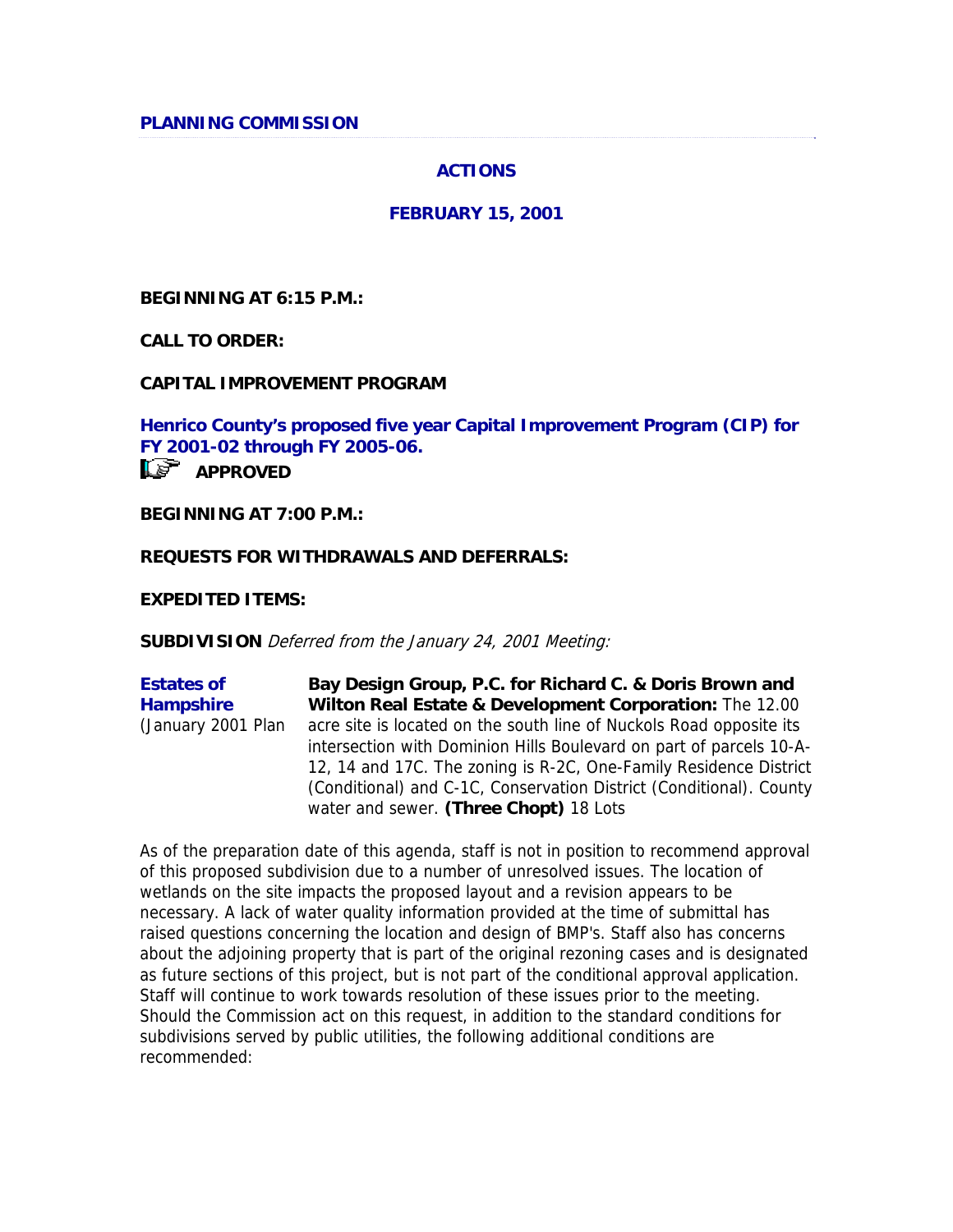### **ACTIONS**

#### **FEBRUARY 15, 2001**

**BEGINNING AT 6:15 P.M.:** 

**CALL TO ORDER:**

**CAPITAL IMPROVEMENT PROGRAM**

**Henrico County's proposed five year Capital Improvement Program (CIP) for FY 2001-02 through FY 2005-06. APPROVED** 

**BEGINNING AT 7:00 P.M.:**

#### **REQUESTS FOR WITHDRAWALS AND DEFERRALS:**

**EXPEDITED ITEMS:**

**SUBDIVISION** Deferred from the January 24, 2001 Meeting:

**Estates of Hampshire** (January 2001 Plan **Bay Design Group, P.C. for Richard C. & Doris Brown and Wilton Real Estate & Development Corporation:** The 12.00 acre site is located on the south line of Nuckols Road opposite its intersection with Dominion Hills Boulevard on part of parcels 10-A-12, 14 and 17C. The zoning is R-2C, One-Family Residence District (Conditional) and C-1C, Conservation District (Conditional). County water and sewer. **(Three Chopt)** 18 Lots

As of the preparation date of this agenda, staff is not in position to recommend approval of this proposed subdivision due to a number of unresolved issues. The location of wetlands on the site impacts the proposed layout and a revision appears to be necessary. A lack of water quality information provided at the time of submittal has raised questions concerning the location and design of BMP's. Staff also has concerns about the adjoining property that is part of the original rezoning cases and is designated as future sections of this project, but is not part of the conditional approval application. Staff will continue to work towards resolution of these issues prior to the meeting. Should the Commission act on this request, in addition to the standard conditions for subdivisions served by public utilities, the following additional conditions are recommended: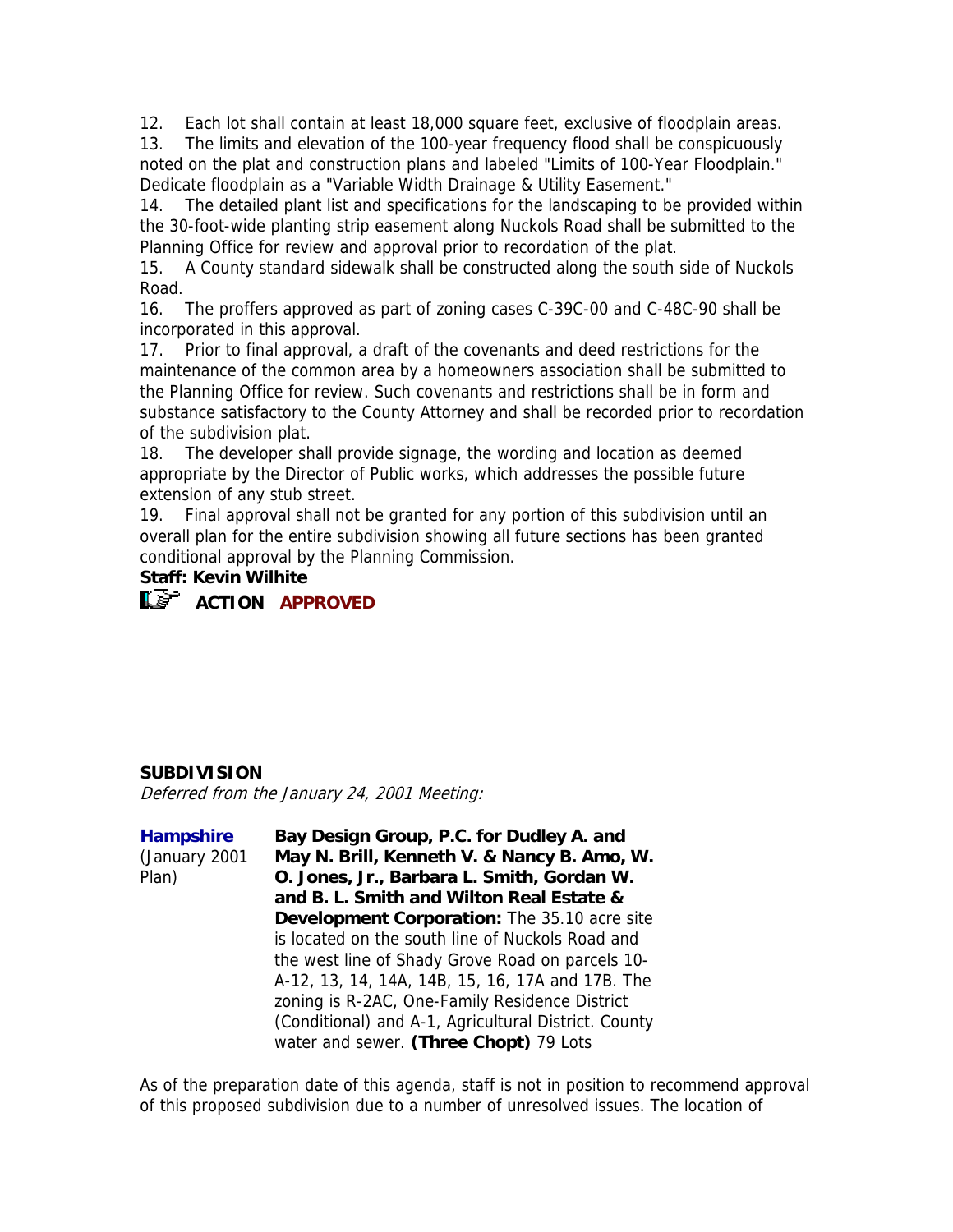12. Each lot shall contain at least 18,000 square feet, exclusive of floodplain areas.

13. The limits and elevation of the 100-year frequency flood shall be conspicuously noted on the plat and construction plans and labeled "Limits of 100-Year Floodplain." Dedicate floodplain as a "Variable Width Drainage & Utility Easement."

14. The detailed plant list and specifications for the landscaping to be provided within the 30-foot-wide planting strip easement along Nuckols Road shall be submitted to the Planning Office for review and approval prior to recordation of the plat.

15. A County standard sidewalk shall be constructed along the south side of Nuckols Road.

16. The proffers approved as part of zoning cases C-39C-00 and C-48C-90 shall be incorporated in this approval.

17. Prior to final approval, a draft of the covenants and deed restrictions for the maintenance of the common area by a homeowners association shall be submitted to the Planning Office for review. Such covenants and restrictions shall be in form and substance satisfactory to the County Attorney and shall be recorded prior to recordation of the subdivision plat.

18. The developer shall provide signage, the wording and location as deemed appropriate by the Director of Public works, which addresses the possible future extension of any stub street.

19. Final approval shall not be granted for any portion of this subdivision until an overall plan for the entire subdivision showing all future sections has been granted conditional approval by the Planning Commission.

### **Staff: Kevin Wilhite**

**ACTION APPROVED**

### **SUBDIVISION**

Deferred from the January 24, 2001 Meeting:

| <b>Hampshire</b><br>(January 2001<br>Plan) | Bay Design Group, P.C. for Dudley A. and<br>May N. Brill, Kenneth V. & Nancy B. Amo, W.<br>O. Jones, Jr., Barbara L. Smith, Gordan W. |
|--------------------------------------------|---------------------------------------------------------------------------------------------------------------------------------------|
|                                            | and B. L. Smith and Wilton Real Estate &                                                                                              |
|                                            | Development Corporation: The 35.10 acre site                                                                                          |
|                                            | is located on the south line of Nuckols Road and                                                                                      |
|                                            | the west line of Shady Grove Road on parcels 10-                                                                                      |
|                                            | A-12, 13, 14, 14A, 14B, 15, 16, 17A and 17B. The                                                                                      |
|                                            | zoning is R-2AC, One-Family Residence District                                                                                        |
|                                            | (Conditional) and A-1, Agricultural District. County                                                                                  |
|                                            | water and sewer. (Three Chopt) 79 Lots                                                                                                |

As of the preparation date of this agenda, staff is not in position to recommend approval of this proposed subdivision due to a number of unresolved issues. The location of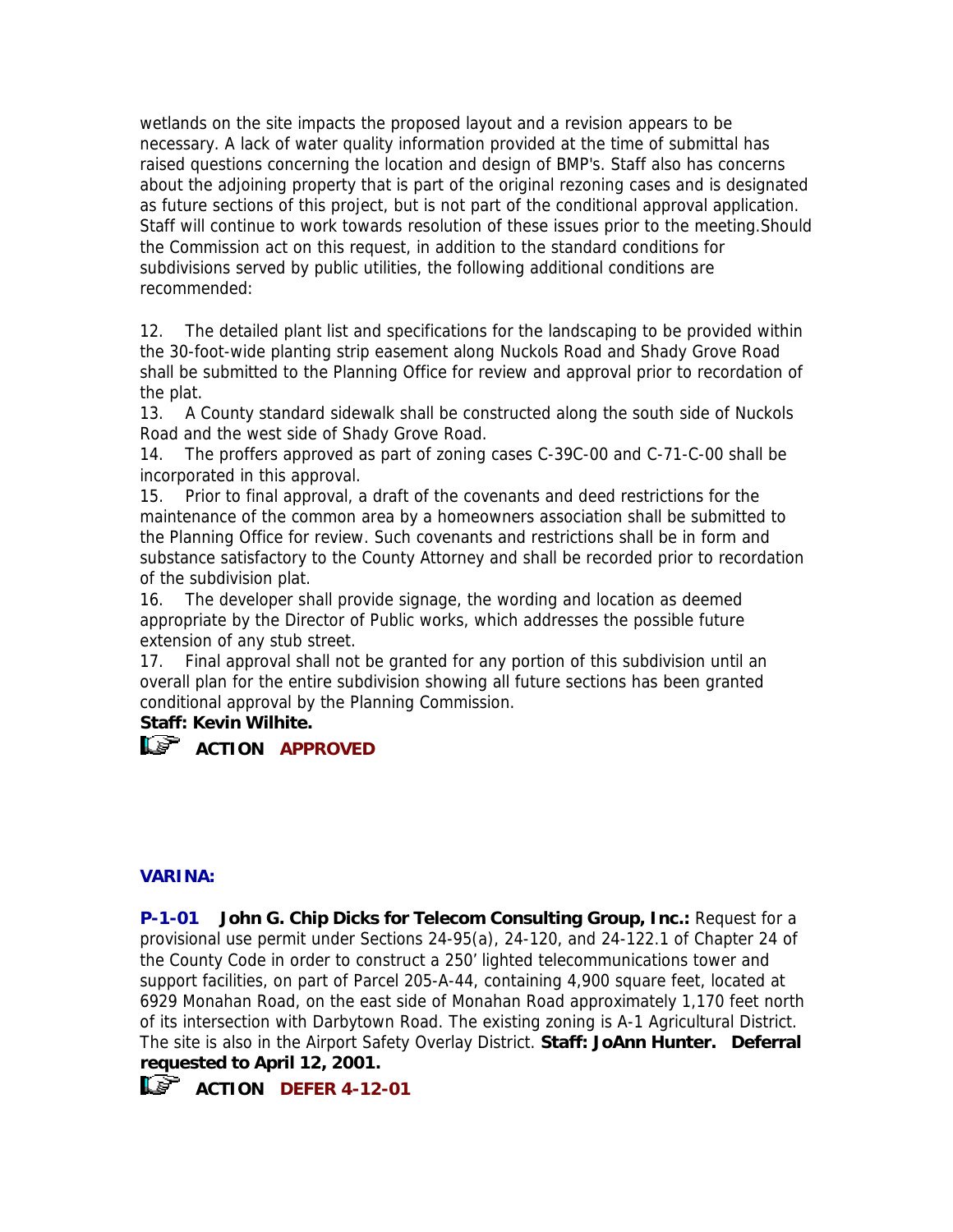wetlands on the site impacts the proposed layout and a revision appears to be necessary. A lack of water quality information provided at the time of submittal has raised questions concerning the location and design of BMP's. Staff also has concerns about the adjoining property that is part of the original rezoning cases and is designated as future sections of this project, but is not part of the conditional approval application. Staff will continue to work towards resolution of these issues prior to the meeting.Should the Commission act on this request, in addition to the standard conditions for subdivisions served by public utilities, the following additional conditions are recommended:

12. The detailed plant list and specifications for the landscaping to be provided within the 30-foot-wide planting strip easement along Nuckols Road and Shady Grove Road shall be submitted to the Planning Office for review and approval prior to recordation of the plat.

13. A County standard sidewalk shall be constructed along the south side of Nuckols Road and the west side of Shady Grove Road.

14. The proffers approved as part of zoning cases C-39C-00 and C-71-C-00 shall be incorporated in this approval.

15. Prior to final approval, a draft of the covenants and deed restrictions for the maintenance of the common area by a homeowners association shall be submitted to the Planning Office for review. Such covenants and restrictions shall be in form and substance satisfactory to the County Attorney and shall be recorded prior to recordation of the subdivision plat.

16. The developer shall provide signage, the wording and location as deemed appropriate by the Director of Public works, which addresses the possible future extension of any stub street.

17. Final approval shall not be granted for any portion of this subdivision until an overall plan for the entire subdivision showing all future sections has been granted conditional approval by the Planning Commission.

### **Staff: Kevin Wilhite.**

# **L**<sub>E</sub><sup>T</sup> ACTION APPROVED

### **VARINA:**

**P-1-01 John G. Chip Dicks for Telecom Consulting Group, Inc.:** Request for a provisional use permit under Sections 24-95(a), 24-120, and 24-122.1 of Chapter 24 of the County Code in order to construct a 250' lighted telecommunications tower and support facilities, on part of Parcel 205-A-44, containing 4,900 square feet, located at 6929 Monahan Road, on the east side of Monahan Road approximately 1,170 feet north of its intersection with Darbytown Road. The existing zoning is A-1 Agricultural District. The site is also in the Airport Safety Overlay District. **Staff: JoAnn Hunter. Deferral requested to April 12, 2001.**



**ACTION DEFER 4-12-01**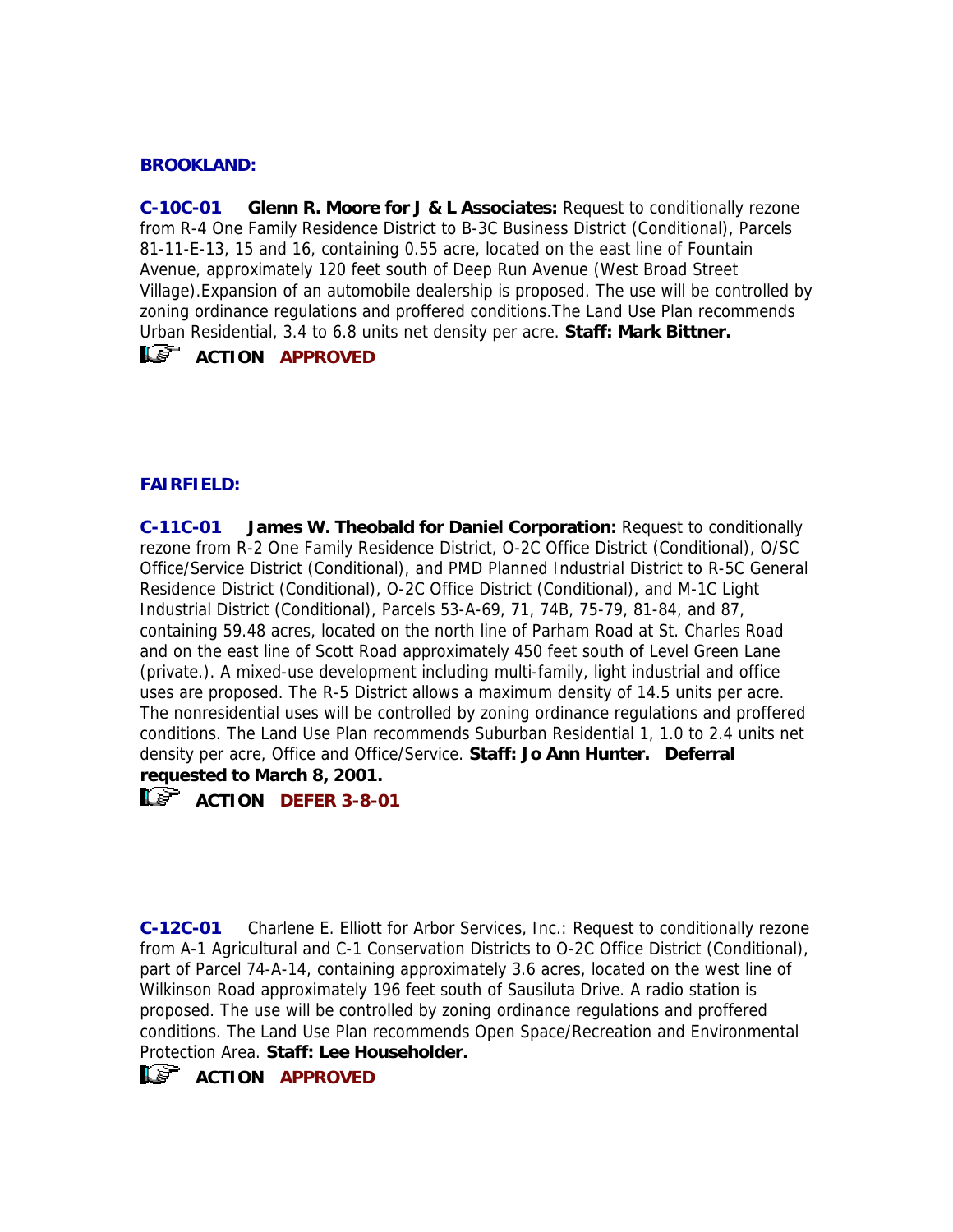#### **BROOKLAND:**

**C-10C-01 Glenn R. Moore for J & L Associates:** Request to conditionally rezone from R-4 One Family Residence District to B-3C Business District (Conditional), Parcels 81-11-E-13, 15 and 16, containing 0.55 acre, located on the east line of Fountain Avenue, approximately 120 feet south of Deep Run Avenue (West Broad Street Village).Expansion of an automobile dealership is proposed. The use will be controlled by zoning ordinance regulations and proffered conditions.The Land Use Plan recommends Urban Residential, 3.4 to 6.8 units net density per acre. **Staff: Mark Bittner.**

# **ACTION APPROVED**

### **FAIRFIELD:**

**C-11C-01 James W. Theobald for Daniel Corporation:** Request to conditionally rezone from R-2 One Family Residence District, O-2C Office District (Conditional), O/SC Office/Service District (Conditional), and PMD Planned Industrial District to R-5C General Residence District (Conditional), O-2C Office District (Conditional), and M-1C Light Industrial District (Conditional), Parcels 53-A-69, 71, 74B, 75-79, 81-84, and 87, containing 59.48 acres, located on the north line of Parham Road at St. Charles Road and on the east line of Scott Road approximately 450 feet south of Level Green Lane (private.). A mixed-use development including multi-family, light industrial and office uses are proposed. The R-5 District allows a maximum density of 14.5 units per acre. The nonresidential uses will be controlled by zoning ordinance regulations and proffered conditions. The Land Use Plan recommends Suburban Residential 1, 1.0 to 2.4 units net density per acre, Office and Office/Service. **Staff: Jo Ann Hunter. Deferral requested to March 8, 2001.**

**ACTION DEFER 3-8-01** 

**C-12C-01** Charlene E. Elliott for Arbor Services, Inc.: Request to conditionally rezone from A-1 Agricultural and C-1 Conservation Districts to O-2C Office District (Conditional), part of Parcel 74-A-14, containing approximately 3.6 acres, located on the west line of Wilkinson Road approximately 196 feet south of Sausiluta Drive. A radio station is proposed. The use will be controlled by zoning ordinance regulations and proffered conditions. The Land Use Plan recommends Open Space/Recreation and Environmental Protection Area. **Staff: Lee Householder.**

# **ACTION APPROVED**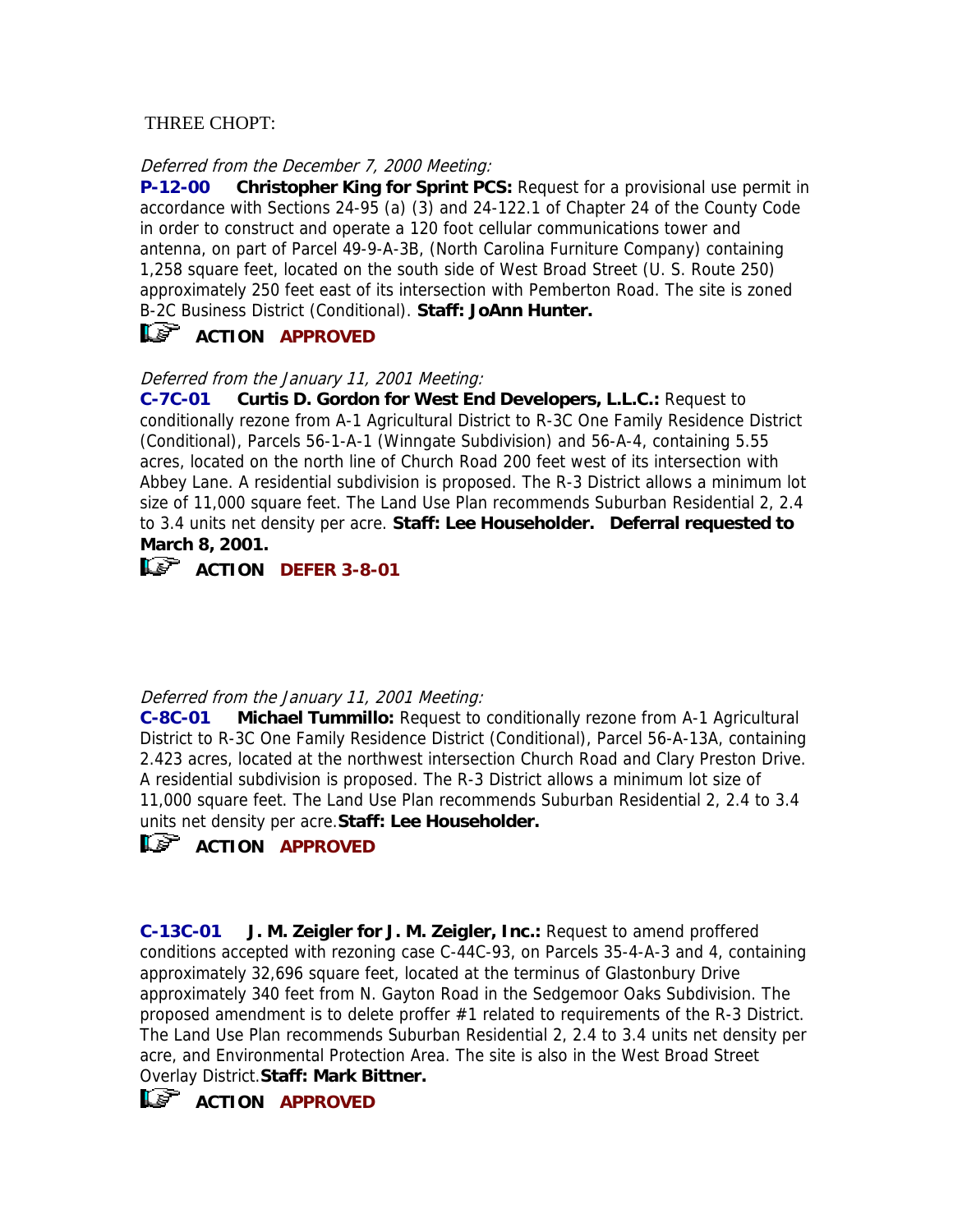### THREE CHOPT:

### Deferred from the December 7, 2000 Meeting:

**P-12-00 Christopher King for Sprint PCS:** Request for a provisional use permit in accordance with Sections 24-95 (a) (3) and 24-122.1 of Chapter 24 of the County Code in order to construct and operate a 120 foot cellular communications tower and antenna, on part of Parcel 49-9-A-3B, (North Carolina Furniture Company) containing 1,258 square feet, located on the south side of West Broad Street (U. S. Route 250) approximately 250 feet east of its intersection with Pemberton Road. The site is zoned B-2C Business District (Conditional). **Staff: JoAnn Hunter.**

# **ACTION APPROVED**

Deferred from the January 11, 2001 Meeting:

**C-7C-01 Curtis D. Gordon for West End Developers, L.L.C.:** Request to conditionally rezone from A-1 Agricultural District to R-3C One Family Residence District (Conditional), Parcels 56-1-A-1 (Winngate Subdivision) and 56-A-4, containing 5.55 acres, located on the north line of Church Road 200 feet west of its intersection with Abbey Lane. A residential subdivision is proposed. The R-3 District allows a minimum lot size of 11,000 square feet. The Land Use Plan recommends Suburban Residential 2, 2.4 to 3.4 units net density per acre. **Staff: Lee Householder. Deferral requested to March 8, 2001.**



**ACTION DEFER 3-8-01** 

### Deferred from the January 11, 2001 Meeting:

**C-8C-01 Michael Tummillo:** Request to conditionally rezone from A-1 Agricultural District to R-3C One Family Residence District (Conditional), Parcel 56-A-13A, containing 2.423 acres, located at the northwest intersection Church Road and Clary Preston Drive. A residential subdivision is proposed. The R-3 District allows a minimum lot size of 11,000 square feet. The Land Use Plan recommends Suburban Residential 2, 2.4 to 3.4 units net density per acre.**Staff: Lee Householder.** 

# **ACTION APPROVED**

**C-13C-01 J. M. Zeigler for J. M. Zeigler, Inc.:** Request to amend proffered conditions accepted with rezoning case C-44C-93, on Parcels 35-4-A-3 and 4, containing approximately 32,696 square feet, located at the terminus of Glastonbury Drive approximately 340 feet from N. Gayton Road in the Sedgemoor Oaks Subdivision. The proposed amendment is to delete proffer #1 related to requirements of the R-3 District. The Land Use Plan recommends Suburban Residential 2, 2.4 to 3.4 units net density per acre, and Environmental Protection Area. The site is also in the West Broad Street Overlay District.**Staff: Mark Bittner.**

**ACTION APPROVED**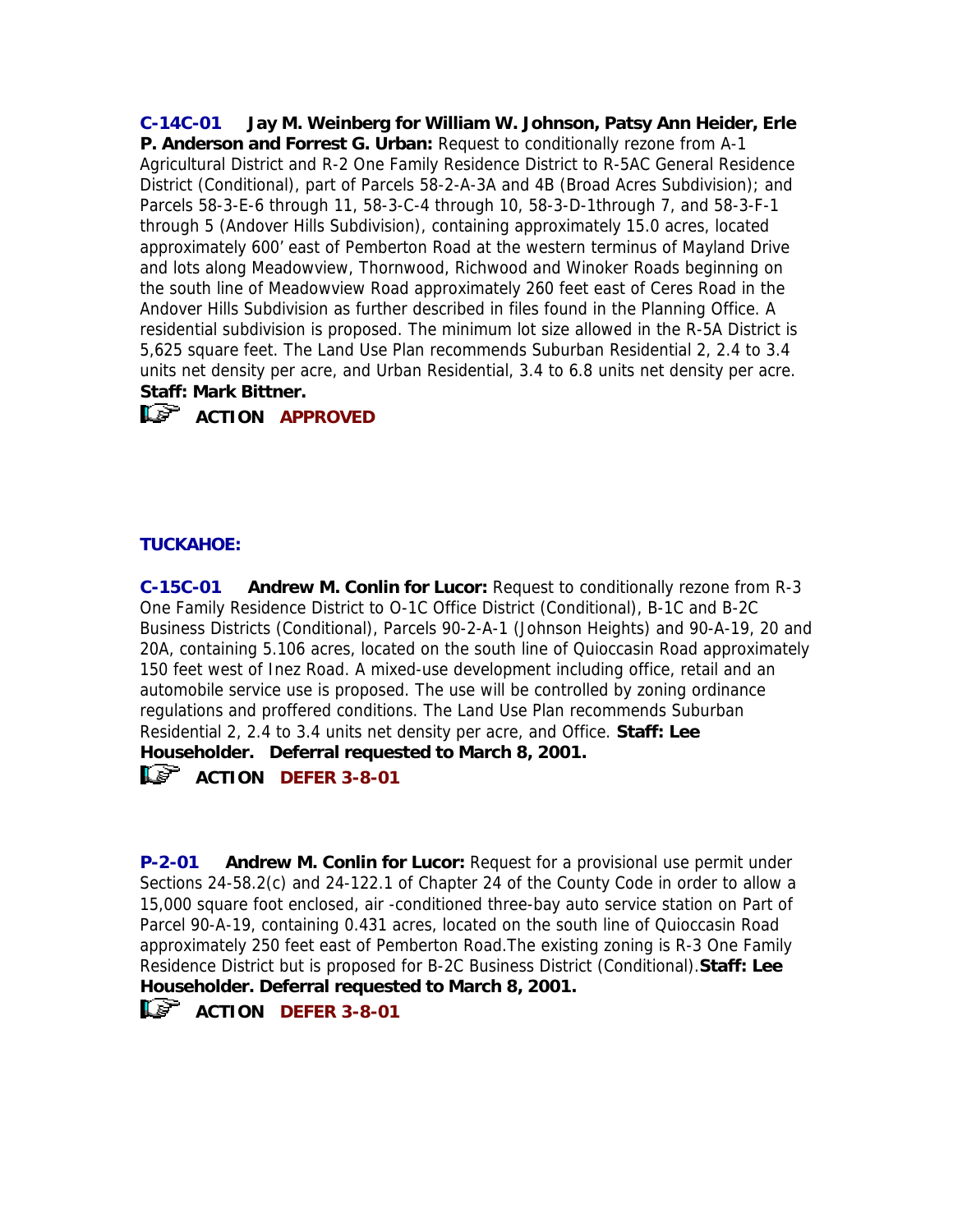**C-14C-01 Jay M. Weinberg for William W. Johnson, Patsy Ann Heider, Erle P. Anderson and Forrest G. Urban:** Request to conditionally rezone from A-1 Agricultural District and R-2 One Family Residence District to R-5AC General Residence District (Conditional), part of Parcels 58-2-A-3A and 4B (Broad Acres Subdivision); and Parcels 58-3-E-6 through 11, 58-3-C-4 through 10, 58-3-D-1through 7, and 58-3-F-1 through 5 (Andover Hills Subdivision), containing approximately 15.0 acres, located approximately 600' east of Pemberton Road at the western terminus of Mayland Drive and lots along Meadowview, Thornwood, Richwood and Winoker Roads beginning on the south line of Meadowview Road approximately 260 feet east of Ceres Road in the Andover Hills Subdivision as further described in files found in the Planning Office. A residential subdivision is proposed. The minimum lot size allowed in the R-5A District is 5,625 square feet. The Land Use Plan recommends Suburban Residential 2, 2.4 to 3.4 units net density per acre, and Urban Residential, 3.4 to 6.8 units net density per acre. **Staff: Mark Bittner.**



**ACTION APPROVED** 

### **TUCKAHOE:**

**C-15C-01 Andrew M. Conlin for Lucor:** Request to conditionally rezone from R-3 One Family Residence District to O-1C Office District (Conditional), B-1C and B-2C Business Districts (Conditional), Parcels 90-2-A-1 (Johnson Heights) and 90-A-19, 20 and 20A, containing 5.106 acres, located on the south line of Quioccasin Road approximately 150 feet west of Inez Road. A mixed-use development including office, retail and an automobile service use is proposed. The use will be controlled by zoning ordinance regulations and proffered conditions. The Land Use Plan recommends Suburban Residential 2, 2.4 to 3.4 units net density per acre, and Office. **Staff: Lee Householder. Deferral requested to March 8, 2001. ACTION DEFER 3-8-01** 

**P-2-01 Andrew M. Conlin for Lucor:** Request for a provisional use permit under Sections 24-58.2(c) and 24-122.1 of Chapter 24 of the County Code in order to allow a 15,000 square foot enclosed, air -conditioned three-bay auto service station on Part of Parcel 90-A-19, containing 0.431 acres, located on the south line of Quioccasin Road approximately 250 feet east of Pemberton Road.The existing zoning is R-3 One Family Residence District but is proposed for B-2C Business District (Conditional).**Staff: Lee Householder. Deferral requested to March 8, 2001.**

**ACTION DEFER 3-8-01**